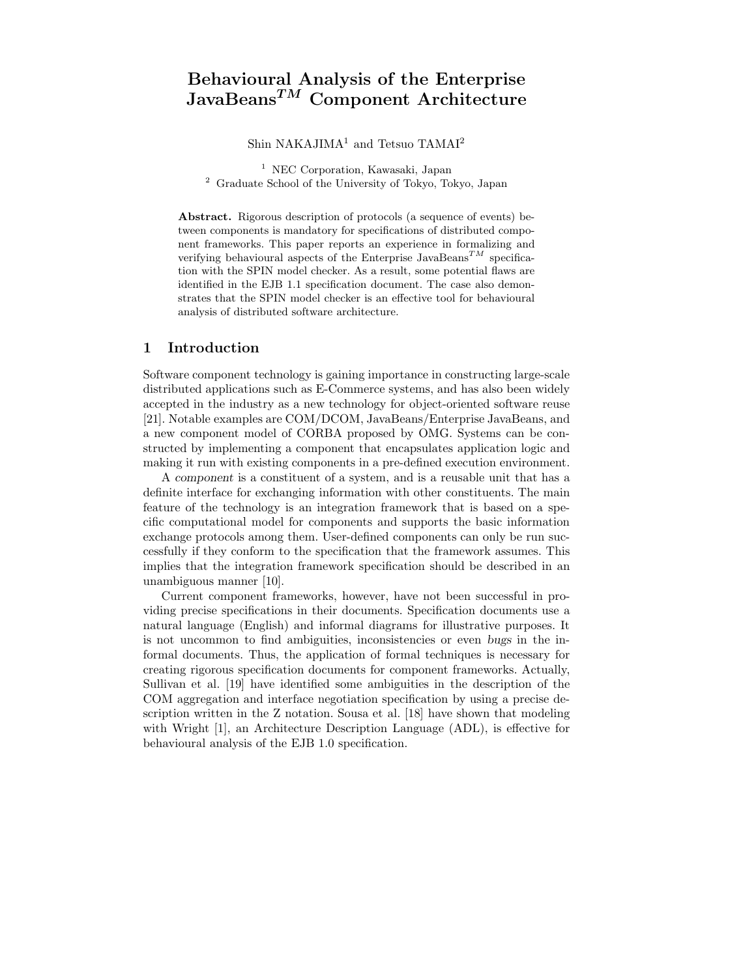# **Behavioural Analysis of the Enterprise JavaBeans***TM* **Component Architecture**

Shin NAKAJIMA<sup>1</sup> and Tetsuo TAMAI<sup>2</sup>

<sup>1</sup> NEC Corporation, Kawasaki, Japan <sup>2</sup> Graduate School of the University of Tokyo, Tokyo, Japan

**Abstract.** Rigorous description of protocols (a sequence of events) between components is mandatory for specifications of distributed component frameworks. This paper reports an experience in formalizing and verifying behavioural aspects of the Enterprise JavaBeans*TM* specification with the SPIN model checker. As a result, some potential flaws are identified in the EJB 1.1 specification document. The case also demonstrates that the SPIN model checker is an effective tool for behavioural analysis of distributed software architecture.

### **1 Introduction**

Software component technology is gaining importance in constructing large-scale distributed applications such as E-Commerce systems, and has also been widely accepted in the industry as a new technology for object-oriented software reuse [21]. Notable examples are COM/DCOM, JavaBeans/Enterprise JavaBeans, and a new component model of CORBA proposed by OMG. Systems can be constructed by implementing a component that encapsulates application logic and making it run with existing components in a pre-defined execution environment.

A *component* is a constituent of a system,and is a reusable unit that has a definite interface for exchanging information with other constituents. The main feature of the technology is an integration framework that is based on a specific computational model for components and supports the basic information exchange protocols among them. User-defined components can only be run successfully if they conform to the specification that the framework assumes. This implies that the integration framework specification should be described in an unambiguous manner [10].

Current component frameworks, however, have not been successful in providing precise specifications in their documents. Specification documents use a natural language (English) and informal diagrams for illustrative purposes. It is not uncommon to find ambiguities, inconsistencies or even *bugs* in the informal documents. Thus, the application of formal techniques is necessary for creating rigorous specification documents for component frameworks. Actually, Sullivan et al. [19] have identified some ambiguities in the description of the COM aggregation and interface negotiation specification by using a precise description written in the Z notation. Sousa et al. [18] have shown that modeling with Wright  $[1]$ , an Architecture Description Language (ADL), is effective for behavioural analysis of the EJB 1.0 specification.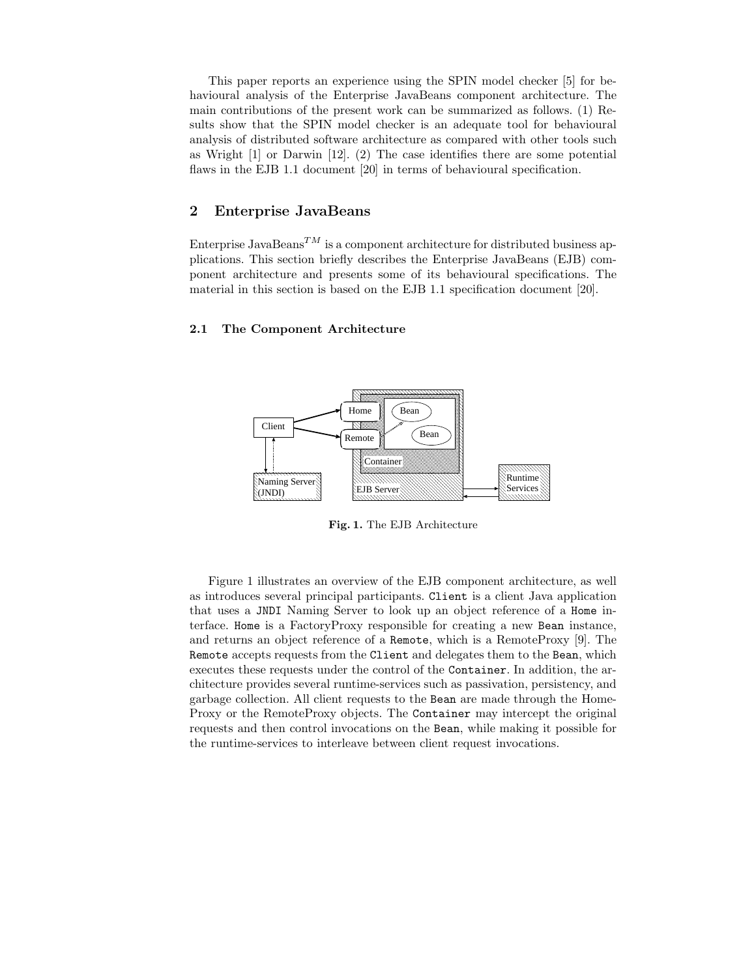This paper reports an experience using the SPIN model checker [5] for behavioural analysis of the Enterprise JavaBeans component architecture. The main contributions of the present work can be summarized as follows. (1) Results show that the SPIN model checker is an adequate tool for behavioural analysis of distributed software architecture as compared with other tools such as Wright [1] or Darwin [12]. (2) The case identifies there are some potential flaws in the EJB 1.1 document [20] in terms of behavioural specification.

#### **2 Enterprise JavaBeans**

Enterprise JavaBeans<sup> $TM$ </sup> is a component architecture for distributed business applications. This section briefly describes the Enterprise JavaBeans (EJB) component architecture and presents some of its behavioural specifications. The material in this section is based on the EJB 1.1 specification document [20].

### **2.1 The Component Architecture**



**Fig. 1.** The EJB Architecture

Figure 1 illustrates an overview of the EJB component architecture, as well as introduces several principal participants. Client is a client Java application that uses a JNDI Naming Server to look up an object reference of a Home interface. Home is a FactoryProxy responsible for creating a new Bean instance, and returns an object reference of a Remote,which is a RemoteProxy [9]. The Remote accepts requests from the Client and delegates them to the Bean, which executes these requests under the control of the Container. In addition, the architecture provides several runtime-services such as passivation, persistency, and garbage collection. All client requests to the Bean are made through the Home-Proxy or the RemoteProxy objects. The Container may intercept the original requests and then control invocations on the Bean,while making it possible for the runtime-services to interleave between client request invocations.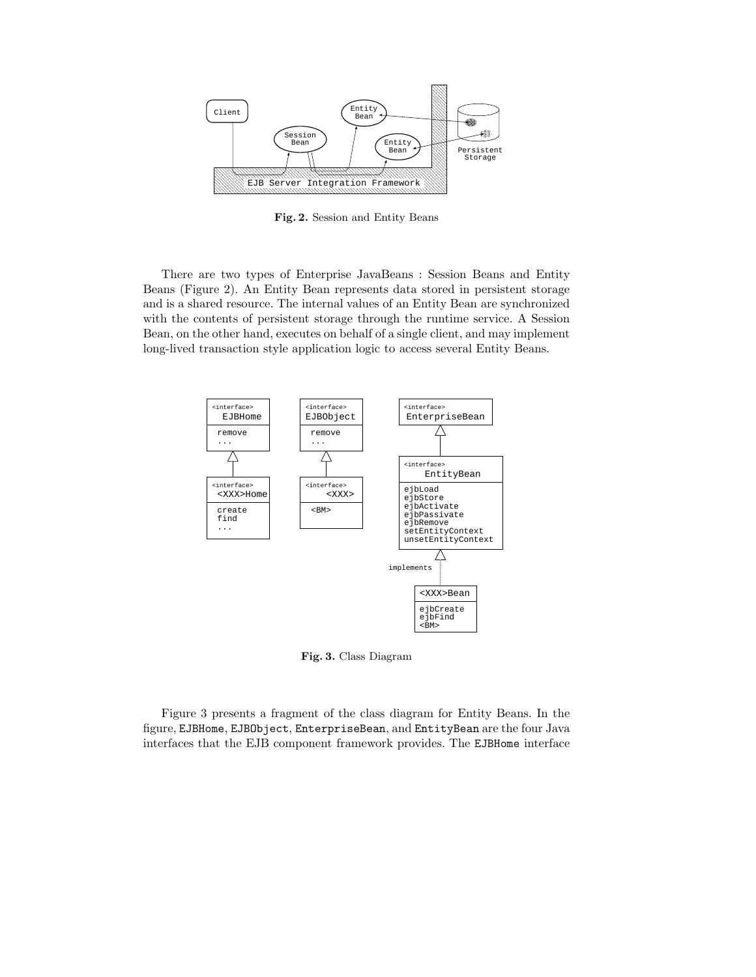

**Fig. 2.** Session and Entity Beans

There are two types of Enterprise JavaBeans : Session Beans and Entity Beans (Figure 2). An Entity Bean represents data stored in persistent storage and is a shared resource. The internal values of an Entity Bean are synchronized with the contents of persistent storage through the runtime service. A Session Bean, on the other hand, executes on behalf of a single client, and may implement long-lived transaction style application logic to access several Entity Beans.



**Fig. 3.** Class Diagram

Figure 3 presents a fragment of the class diagram for Entity Beans. In the figure, EJBHome, EJBObject, EnterpriseBean,and EntityBean are the four Java interfaces that the EJB component framework provides. The EJBHome interface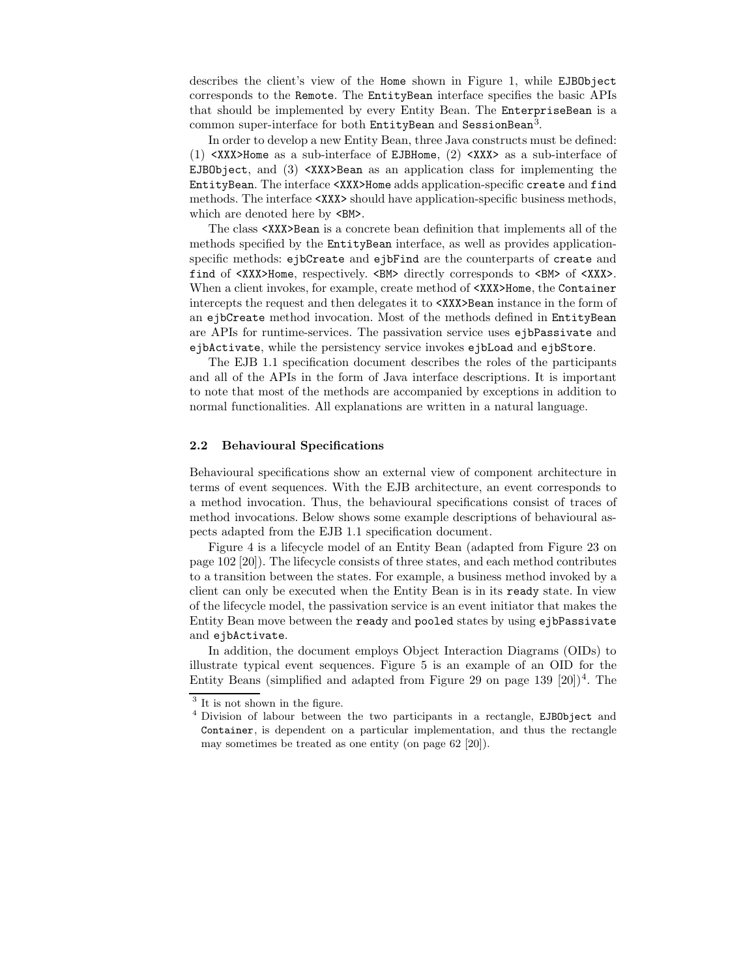describes the client's view of the Home shown in Figure 1, while EJBObject corresponds to the Remote. The EntityBean interface specifies the basic APIs that should be implemented by every Entity Bean. The EnterpriseBean is a common super-interface for both EntityBean and SessionBean<sup>3</sup>.

In order to develop a new Entity Bean, three Java constructs must be defined: (1)  $\langle$ XXX>Home as a sub-interface of EJBHome, (2)  $\langle$ XXX> as a sub-interface of EJBObject, and  $(3)$  <XXX>Bean as an application class for implementing the EntityBean. The interface <XXX>Home adds application-specific create and find methods. The interface <XXX> should have application-specific business methods, which are denoted here by  $\langle BM \rangle$ .

The class <XXX>Bean is a concrete bean definition that implements all of the methods specified by the EntityBean interface, as well as provides applicationspecific methods: ejbCreate and ejbFind are the counterparts of create and find of <XXX>Home, respectively. <BM> directly corresponds to <BM> of <XXX>. When a client invokes, for example, create method of  $\langle XXX \rangle$ Home, the Container intercepts the request and then delegates it to <XXX>Bean instance in the form of an ejbCreate method invocation. Most of the methods defined in EntityBean are APIs for runtime-services. The passivation service uses ejbPassivate and ejbActivate,while the persistency service invokes ejbLoad and ejbStore.

The EJB 1.1 specification document describes the roles of the participants and all of the APIs in the form of Java interface descriptions. It is important to note that most of the methods are accompanied by exceptions in addition to normal functionalities. All explanations are written in a natural language.

#### **2.2 Behavioural Specifications**

Behavioural specifications show an external view of component architecture in terms of event sequences. With the EJB architecture, an event corresponds to a method invocation. Thus, the behavioural specifications consist of traces of method invocations. Below shows some example descriptions of behavioural aspects adapted from the EJB 1.1 specification document.

Figure 4 is a lifecycle model of an Entity Bean (adapted from Figure 23 on page 102 [20]). The lifecycle consists of three states, and each method contributes to a transition between the states. For example, a business method invoked by a client can only be executed when the Entity Bean is in its ready state. In view of the lifecycle model, the passivation service is an event initiator that makes the Entity Bean move between the ready and pooled states by using ejbPassivate and ejbActivate.

In addition, the document employs Object Interaction Diagrams (OIDs) to illustrate typical event sequences. Figure 5 is an example of an OID for the Entity Beans (simplified and adapted from Figure 29 on page  $139 [20]$ <sup>4</sup>. The

<sup>&</sup>lt;sup>3</sup> It is not shown in the figure.

<sup>4</sup> Division of labour between the two participants in a rectangle, EJBObject and Container, is dependent on a particular implementation, and thus the rectangle may sometimes be treated as one entity (on page 62 [20]).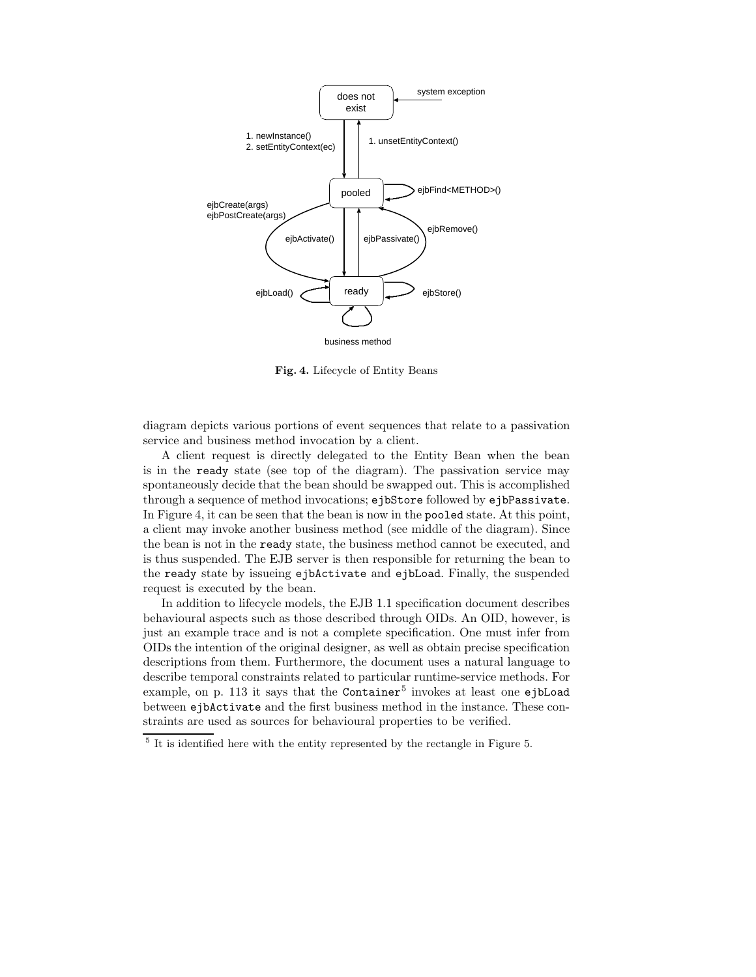

**Fig. 4.** Lifecycle of Entity Beans

diagram depicts various portions of event sequences that relate to a passivation service and business method invocation by a client.

A client request is directly delegated to the Entity Bean when the bean is in the ready state (see top of the diagram). The passivation service may spontaneously decide that the bean should be swapped out. This is accomplished through a sequence of method invocations; ejbStore followed by ejbPassivate. In Figure 4, it can be seen that the bean is now in the **pooled** state. At this point, a client may invoke another business method (see middle of the diagram). Since the bean is not in the ready state, the business method cannot be executed, and is thus suspended. The EJB server is then responsible for returning the bean to the ready state by issueing ejbActivate and ejbLoad. Finally, the suspended request is executed by the bean.

In addition to lifecycle models, the EJB 1.1 specification document describes behavioural aspects such as those described through OIDs. An OID, however, is just an example trace and is not a complete specification. One must infer from OIDs the intention of the original designer,as well as obtain precise specification descriptions from them. Furthermore, the document uses a natural language to describe temporal constraints related to particular runtime-service methods. For example, on p. 113 it says that the  $\text{Container}^5$  invokes at least one ejbLoad between ejbActivate and the first business method in the instance. These constraints are used as sources for behavioural properties to be verified.

 $^5$  It is identified here with the entity represented by the rectangle in Figure 5.  $\,$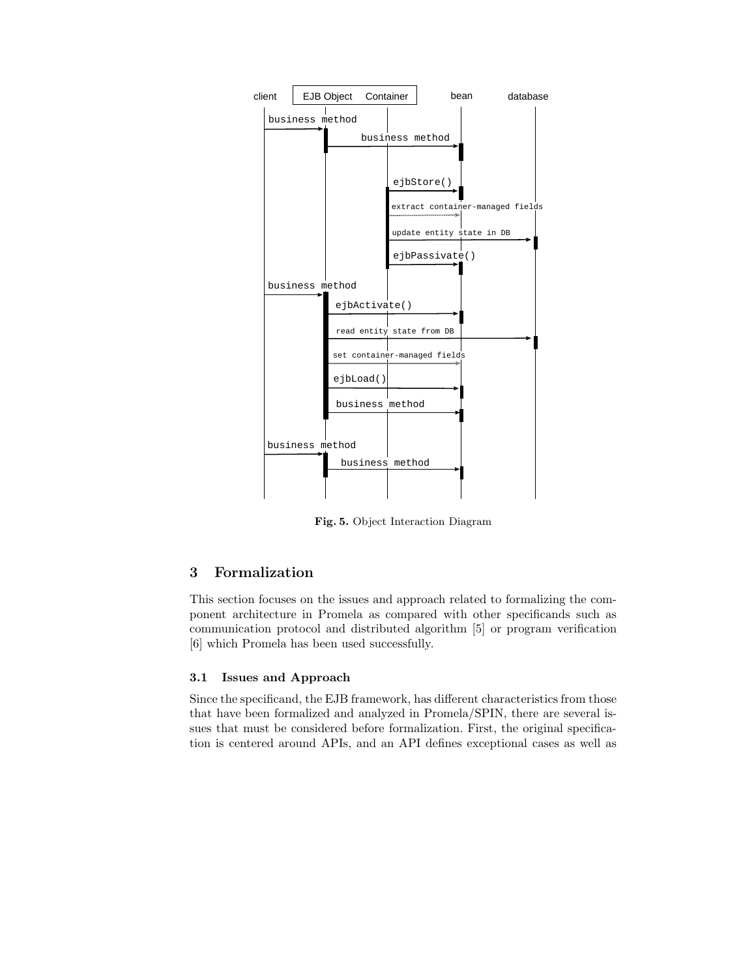

**Fig. 5.** Object Interaction Diagram

## **3 Formalization**

This section focuses on the issues and approach related to formalizing the component architecture in Promela as compared with other specificands such as communication protocol and distributed algorithm [5] or program verification [6] which Promela has been used successfully.

### **3.1 Issues and Approach**

Since the specificand, the EJB framework, has different characteristics from those that have been formalized and analyzed in Promela/SPIN, there are several issues that must be considered before formalization. First, the original specification is centered around APIs, and an API defines exceptional cases as well as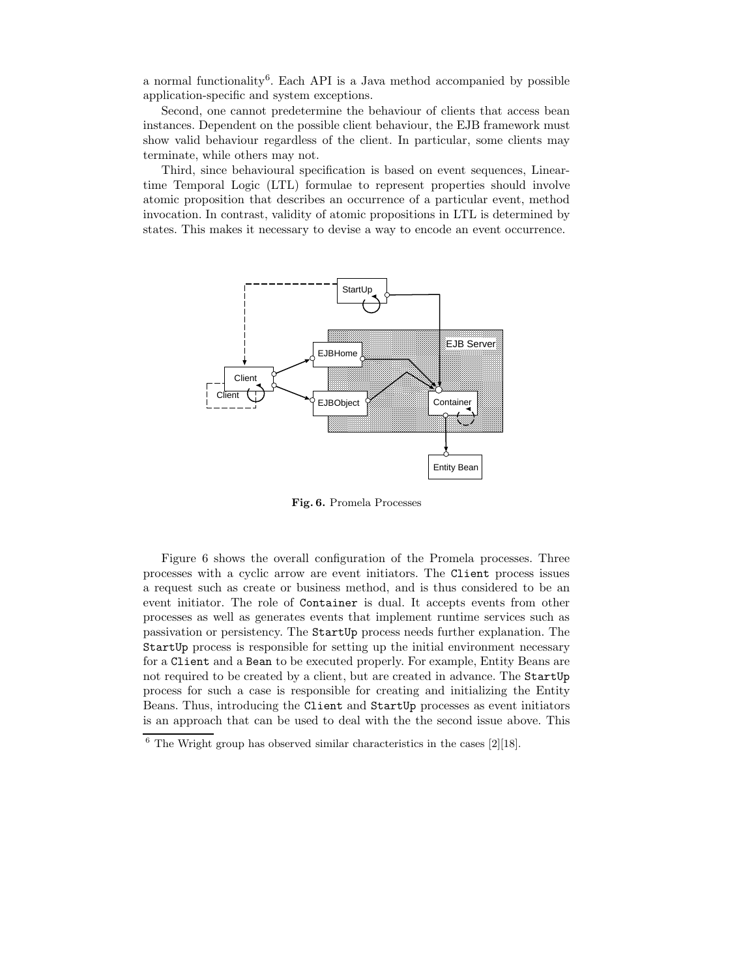a normal functionality<sup>6</sup>. Each API is a Java method accompanied by possible application-specific and system exceptions.

Second, one cannot predetermine the behaviour of clients that access bean instances. Dependent on the possible client behaviour, the EJB framework must show valid behaviour regardless of the client. In particular, some clients may terminate, while others may not.

Third, since behavioural specification is based on event sequences, Lineartime Temporal Logic (LTL) formulae to represent properties should involve atomic proposition that describes an occurrence of a particular event, method invocation. In contrast, validity of atomic propositions in LTL is determined by states. This makes it necessary to devise a way to encode an event occurrence.



**Fig. 6.** Promela Processes

Figure 6 shows the overall configuration of the Promela processes. Three processes with a cyclic arrow are event initiators. The Client process issues a request such as create or business method,and is thus considered to be an event initiator. The role of Container is dual. It accepts events from other processes as well as generates events that implement runtime services such as passivation or persistency. The StartUp process needs further explanation. The StartUp process is responsible for setting up the initial environment necessary for a Client and a Bean to be executed properly. For example, Entity Beans are not required to be created by a client, but are created in advance. The StartUp process for such a case is responsible for creating and initializing the Entity Beans. Thus, introducing the Client and StartUp processes as event initiators is an approach that can be used to deal with the the second issue above. This

 $\overline{6}$  The Wright group has observed similar characteristics in the cases [2][18].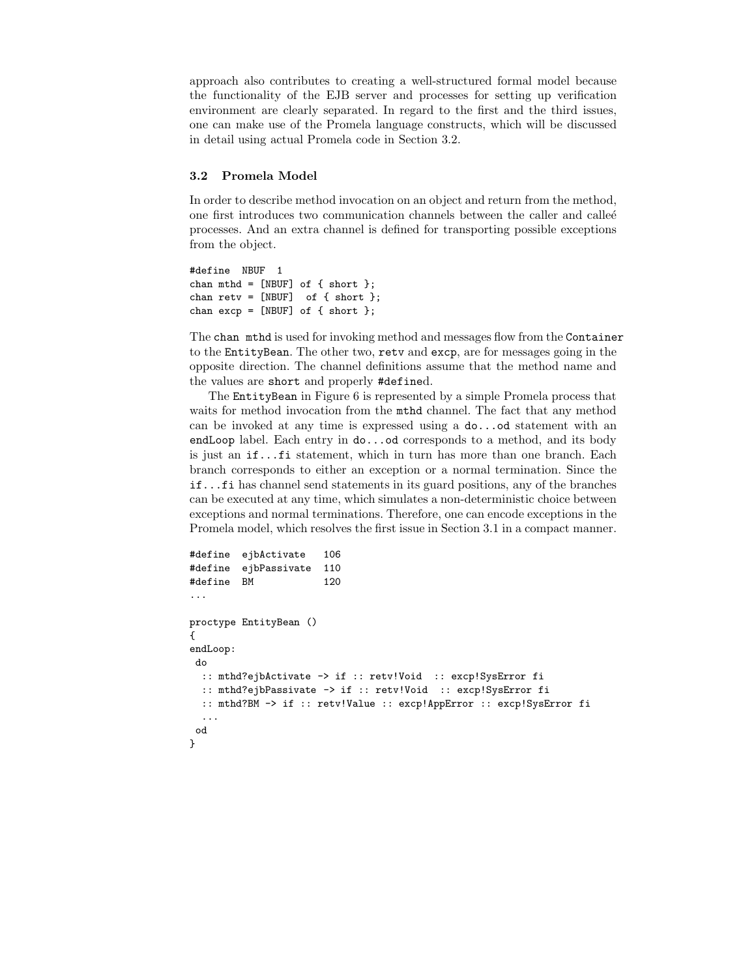approach also contributes to creating a well-structured formal model because the functionality of the EJB server and processes for setting up verification environment are clearly separated. In regard to the first and the third issues, one can make use of the Promela language constructs,which will be discussed in detail using actual Promela code in Section 3.2.

#### **3.2 Promela Model**

In order to describe method invocation on an object and return from the method, one first introduces two communication channels between the caller and calleé processes. And an extra channel is defined for transporting possible exceptions from the object.

```
#define NBUF 1
chan mthd = [NBUF] of { short };
chan retv = [NBUF] of { short };
chan excp = [NBUF] of { short };
```
The chan mthd is used for invoking method and messages flow from the Container to the EntityBean. The other two, retv and excp,are for messages going in the opposite direction. The channel definitions assume that the method name and the values are short and properly #defined.

The EntityBean in Figure 6 is represented by a simple Promela process that waits for method invocation from the mthd channel. The fact that any method can be invoked at any time is expressed using a do...od statement with an endLoop label. Each entry in  $do...$ od corresponds to a method, and its body is just an if...fi statement, which in turn has more than one branch. Each branch corresponds to either an exception or a normal termination. Since the if...fi has channel send statements in its guard positions,any of the branches can be executed at any time, which simulates a non-deterministic choice between exceptions and normal terminations. Therefore, one can encode exceptions in the Promela model, which resolves the first issue in Section 3.1 in a compact manner.

```
#define ejbActivate 106
#define ejbPassivate 110
#define BM 120
...
proctype EntityBean ()
{
endLoop:
do
  :: mthd?ejbActivate -> if :: retv!Void :: excp!SysError fi
  :: mthd?ejbPassivate -> if :: retv!Void :: excp!SysError fi
  :: mthd?BM -> if :: retv!Value :: excp!AppError :: excp!SysError fi
  ...
od
}
```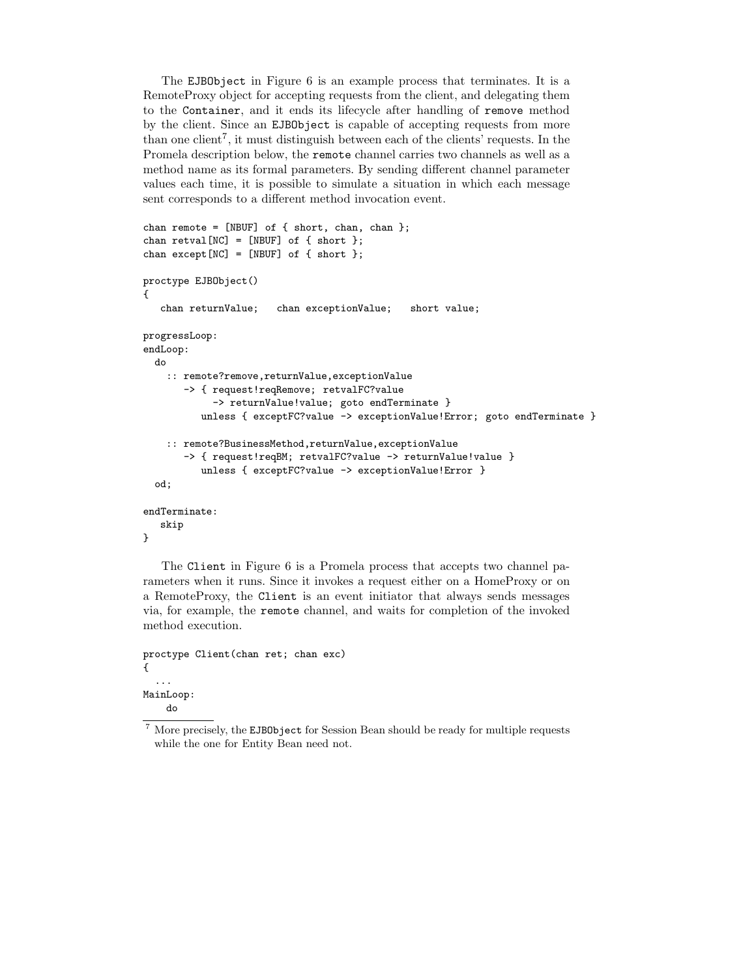The EJBObject in Figure 6 is an example process that terminates. It is a RemoteProxy object for accepting requests from the client, and delegating them to the Container, and it ends its lifecycle after handling of remove method by the client. Since an EJBObject is capable of accepting requests from more than one client<sup>7</sup>, it must distinguish between each of the clients' requests. In the Promela description below, the remote channel carries two channels as well as a method name as its formal parameters. By sending different channel parameter values each time, it is possible to simulate a situation in which each message sent corresponds to a different method invocation event.

```
chan remote = [NBUF] of { short, chan, chan };
chan retval [NC] = [NBUF] of \{ short \};
chan except [NC] = [NBUF] of \{ short \};
proctype EJBObject()
{
   chan returnValue; chan exceptionValue; short value;
progressLoop:
endLoop:
  do
    :: remote?remove,returnValue,exceptionValue
       -> { request!reqRemove; retvalFC?value
            -> returnValue!value; goto endTerminate }
          unless { exceptFC?value -> exceptionValue!Error; goto endTerminate }
    :: remote?BusinessMethod,returnValue,exceptionValue
       -> { request!reqBM; retvalFC?value -> returnValue!value }
          unless { exceptFC?value -> exceptionValue!Error }
  od;
endTerminate:
   skip
}
```
The Client in Figure 6 is a Promela process that accepts two channel parameters when it runs. Since it invokes a request either on a HomeProxy or on a RemoteProxy, the Client is an event initiator that always sends messages via, for example, the remote channel, and waits for completion of the invoked method execution.

```
proctype Client(chan ret; chan exc)
{
  ...
MainLoop:
    do
```
<sup>7</sup> More precisely, the EJBObject for Session Bean should be ready for multiple requests while the one for Entity Bean need not.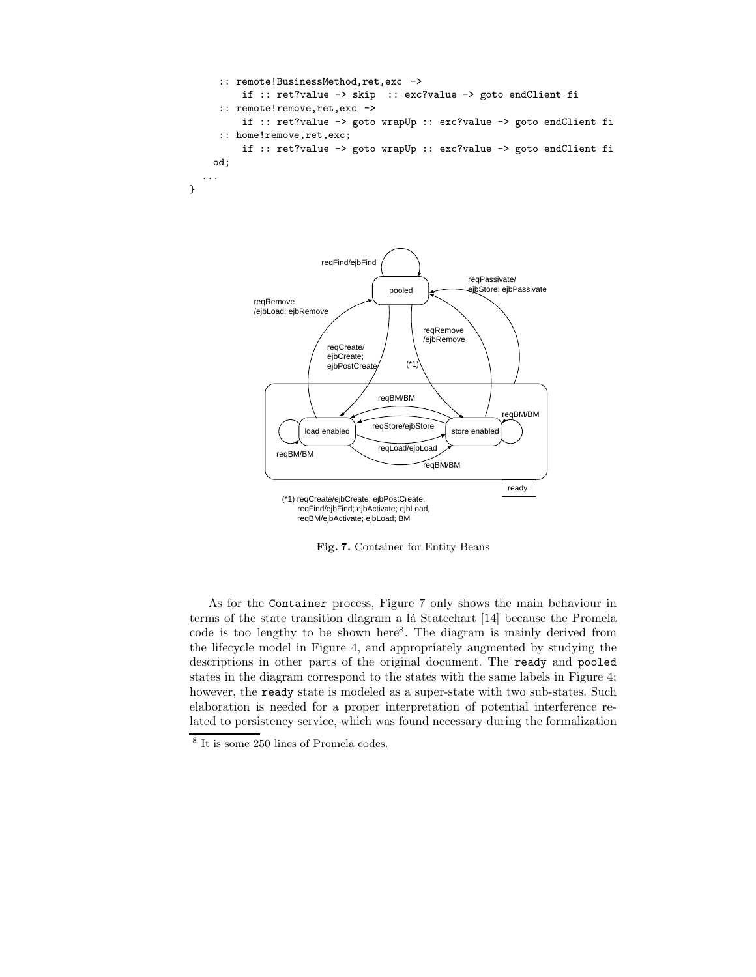```
:: remote!BusinessMethod,ret,exc ->
         if :: ret?value -> skip :: exc?value -> goto endClient fi
     :: remote!remove,ret,exc ->
         if :: ret?value -> goto wrapUp :: exc?value -> goto endClient fi
     :: home!remove,ret,exc;
         if :: ret?value -> goto wrapUp :: exc?value -> goto endClient fi
    od;
  ...
}
```


**Fig. 7.** Container for Entity Beans

As for the Container process, Figure 7 only shows the main behaviour in terms of the state transition diagram a lá Statechart [14] because the Promela code is too lengthy to be shown here<sup>8</sup>. The diagram is mainly derived from the lifecycle model in Figure 4, and appropriately augmented by studying the descriptions in other parts of the original document. The ready and pooled states in the diagram correspond to the states with the same labels in Figure 4; however, the ready state is modeled as a super-state with two sub-states. Such elaboration is needed for a proper interpretation of potential interference related to persistency service, which was found necessary during the formalization

<sup>8</sup> It is some 250 lines of Promela codes.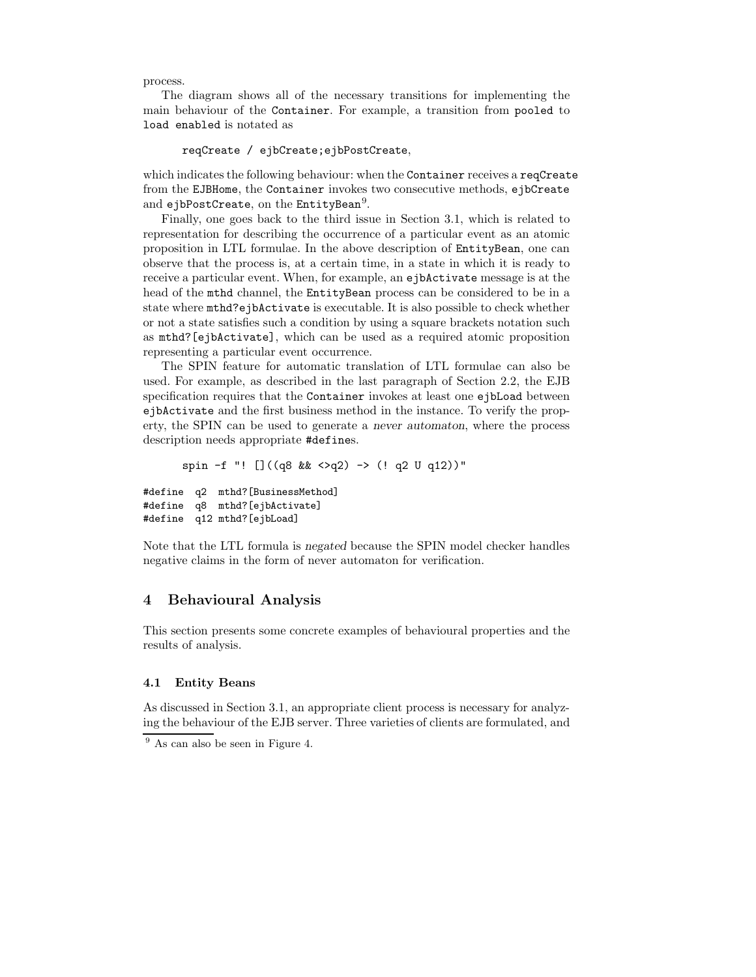process.

The diagram shows all of the necessary transitions for implementing the main behaviour of the Container. For example,a transition from pooled to load enabled is notated as

reqCreate / ejbCreate;ejbPostCreate,

which indicates the following behaviour: when the Container receives a reqCreate from the EJBHome, the Container invokes two consecutive methods, ejbCreate and ejbPostCreate, on the EntityBean<sup>9</sup>.

Finally, one goes back to the third issue in Section 3.1, which is related to representation for describing the occurrence of a particular event as an atomic proposition in LTL formulae. In the above description of EntityBean, one can observe that the process is, at a certain time, in a state in which it is ready to receive a particular event. When, for example, an ejbActivate message is at the head of the mthd channel, the EntityBean process can be considered to be in a state where mthd?ejbActivate is executable. It is also possible to check whether or not a state satisfies such a condition by using a square brackets notation such as mthd?[ejbActivate], which can be used as a required atomic proposition representing a particular event occurrence.

The SPIN feature for automatic translation of LTL formulae can also be used. For example, as described in the last paragraph of Section 2.2, the EJB specification requires that the Container invokes at least one ejbLoad between ejbActivate and the first business method in the instance. To verify the property, the SPIN can be used to generate a *never automaton*, where the process description needs appropriate #defines.

```
spin -f "! []((q8 && <>q2) -> (! q2 U q12))"
```

```
#define q2 mthd?[BusinessMethod]
#define q8 mthd?[ejbActivate]
#define q12 mthd?[ejbLoad]
```
Note that the LTL formula is *negated* because the SPIN model checker handles negative claims in the form of never automaton for verification.

## **4 Behavioural Analysis**

This section presents some concrete examples of behavioural properties and the results of analysis.

#### **4.1 Entity Beans**

As discussed in Section 3.1, an appropriate client process is necessary for analyzing the behaviour of the EJB server. Three varieties of clients are formulated, and

<sup>&</sup>lt;sup>9</sup> As can also be seen in Figure 4.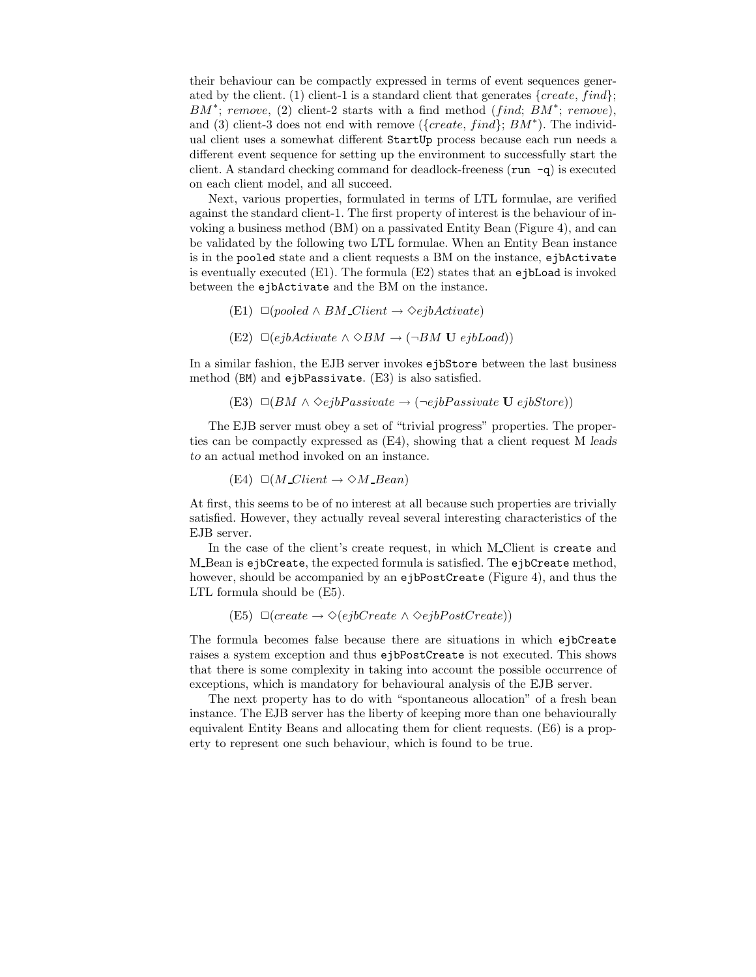their behaviour can be compactly expressed in terms of event sequences generated by the client. (1) client-1 is a standard client that generates  ${create, find};$ *BM*∗; *remove*,(2) client-2 starts with a find method (*f ind*; *BM*∗; *remove*), and (3) client-3 does not end with remove ({*create*, *find*}; *BM*<sup>\*</sup>). The individual client uses a somewhat different StartUp process because each run needs a different event sequence for setting up the environment to successfully start the client. A standard checking command for deadlock-freeness ( $run -q$ ) is executed on each client model, and all succeed.

Next, various properties, formulated in terms of LTL formulae, are verified against the standard client-1. The first property of interest is the behaviour of invoking a business method  $(BM)$  on a passivated Entity Bean (Figure 4), and can be validated by the following two LTL formulae. When an Entity Bean instance is in the pooled state and a client requests a BM on the instance, ejbActivate is eventually executed  $(E1)$ . The formula  $(E2)$  states that an ejbLoad is invoked between the ejbActivate and the BM on the instance.

- $(E1) □(pooled ∧ BM\_Client → \Diamond ejbActive)$
- $(E2) \Box (ejbActive ∧ ⊙<sub>BM</sub> → (∼<sub>BM</sub> **U** *ejbLoad*))$

In a similar fashion, the EJB server invokes ejbStore between the last business method (BM) and ejbPassivate. (E3) is also satisfied.

(E3)  $\Box(BM \land \Diamond ejbPassivate \rightarrow (\neg ejbPassivate \cup ejbStore))$ 

The EJB server must obey a set of "trivial progress" properties. The properties can be compactly expressed as  $(E4)$ , showing that a client request M *leads to* an actual method invoked on an instance.

 $(E4) \Box (M\_Client \rightarrow \Diamond M\_Bean)$ 

At first, this seems to be of no interest at all because such properties are trivially satisfied. However, they actually reveal several interesting characteristics of the EJB server.

In the case of the client's create request, in which M\_Client is create and  $M$ -Bean is ejbCreate, the expected formula is satisfied. The ejbCreate method, however, should be accompanied by an ejbPostCreate (Figure 4), and thus the LTL formula should be (E5).

```
(E5) □(create → \Diamond (ejbCreate \land \Diamond ejbPostCreate))
```
The formula becomes false because there are situations in which ejbCreate raises a system exception and thus ejbPostCreate is not executed. This shows that there is some complexity in taking into account the possible occurrence of exceptions, which is mandatory for behavioural analysis of the EJB server.

The next property has to do with "spontaneous allocation" of a fresh bean instance. The EJB server has the liberty of keeping more than one behaviourally equivalent Entity Beans and allocating them for client requests. (E6) is a property to represent one such behaviour, which is found to be true.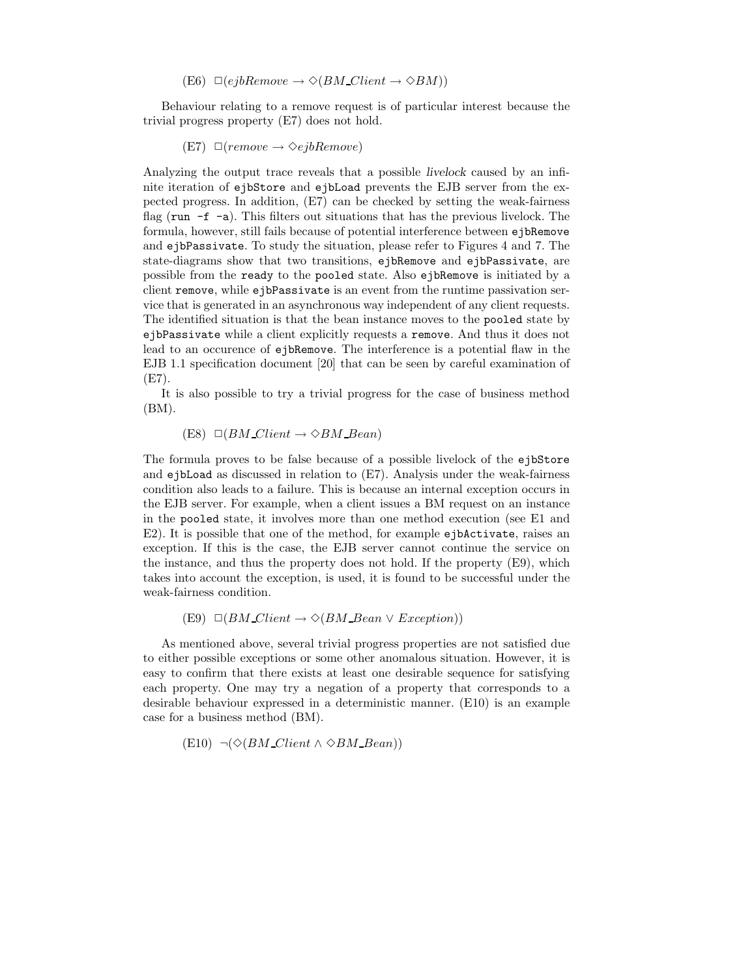(E6)  $\Box(ejbRemove \rightarrow \Diamond(BM\_Client \rightarrow \Diamond BM))$ 

Behaviour relating to a remove request is of particular interest because the trivial progress property (E7) does not hold.

 $(E7) \Box (remove \rightarrow \Diamond ejbRemove)$ 

Analyzing the output trace reveals that a possible *livelock* caused by an infinite iteration of ejbStore and ejbLoad prevents the EJB server from the expected progress. In addition,(E7) can be checked by setting the weak-fairness flag (run  $-f -a$ ). This filters out situations that has the previous livelock. The formula, however, still fails because of potential interference between ejbRemove and ejbPassivate. To study the situation, please refer to Figures 4 and 7. The state-diagrams show that two transitions, ejbRemove and ejbPassivate, are possible from the ready to the pooled state. Also ejbRemove is initiated by a client remove, while ejbPassivate is an event from the runtime passivation service that is generated in an asynchronous way independent of any client requests. The identified situation is that the bean instance moves to the pooled state by ejbPassivate while a client explicitly requests a remove. And thus it does not lead to an occurence of ejbRemove. The interference is a potential flaw in the EJB 1.1 specification document [20] that can be seen by careful examination of (E7).

It is also possible to try a trivial progress for the case of business method (BM).

 $(ES) \Box(BM\_Client \rightarrow \Diamond BM\_Bean)$ 

The formula proves to be false because of a possible livelock of the ejbStore and ejbLoad as discussed in relation to (E7). Analysis under the weak-fairness condition also leads to a failure. This is because an internal exception occurs in the EJB server. For example,when a client issues a BM request on an instance in the pooled state, it involves more than one method execution (see E1 and  $E2$ ). It is possible that one of the method, for example ejbActivate, raises an exception. If this is the case, the EJB server cannot continue the service on the instance, and thus the property does not hold. If the property  $(E9)$ , which takes into account the exception, is used, it is found to be successful under the weak-fairness condition.

 $(E9) \Box(BM\ \mathit{Client} \rightarrow \Diamond(BM\ \mathit{Bean} \lor Exception))$ 

As mentioned above, several trivial progress properties are not satisfied due to either possible exceptions or some other anomalous situation. However, it is easy to confirm that there exists at least one desirable sequence for satisfying each property. One may try a negation of a property that corresponds to a desirable behaviour expressed in a deterministic manner. (E10) is an example case for a business method (BM).

 $(E10) \neg (\Diamond (BM\_Client \land \Diamond BM\_Bean))$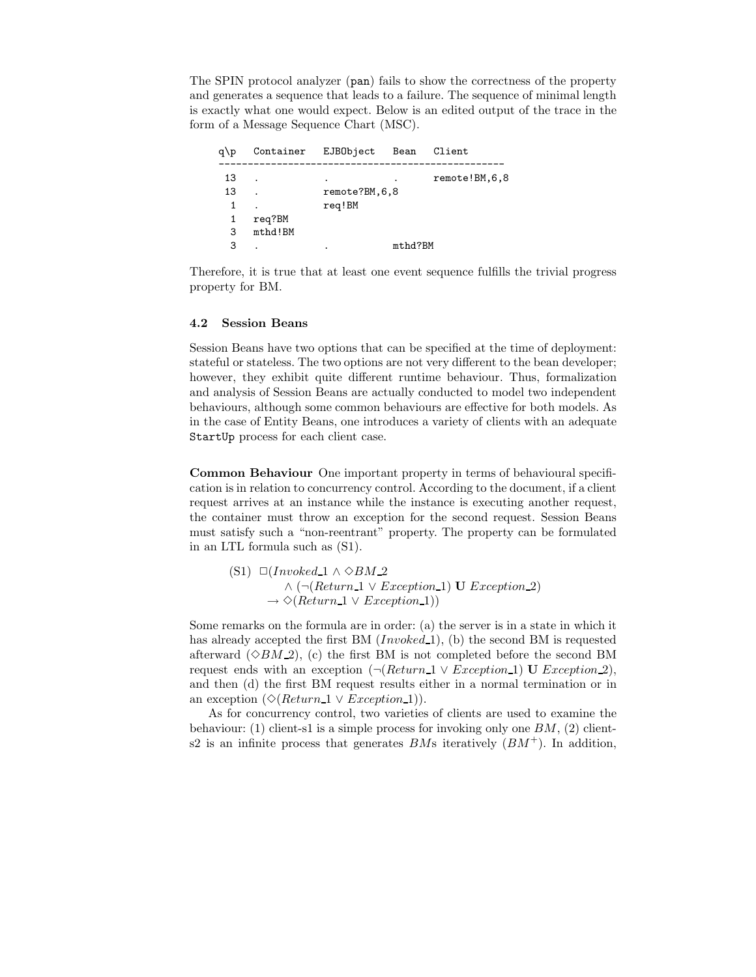The SPIN protocol analyzer (pan) fails to show the correctness of the property and generates a sequence that leads to a failure. The sequence of minimal length is exactly what one would expect. Below is an edited output of the trace in the form of a Message Sequence Chart (MSC).

| q\p | Container EJBObject      |                | Bean      | Client        |
|-----|--------------------------|----------------|-----------|---------------|
| 13  | $\ddot{\phantom{0}}$     | $\bullet$      | $\bullet$ | remote!BM.6.8 |
| 13  |                          | remote?BM, 6,8 |           |               |
| 1   |                          | reg!BM         |           |               |
| 1   | req?BM                   |                |           |               |
| 3   | mthd!BM                  |                |           |               |
| 3   | $\overline{\phantom{a}}$ | ٠              | mthd?BM   |               |
|     |                          |                |           |               |

Therefore, it is true that at least one event sequence fulfills the trivial progress property for BM.

#### **4.2 Session Beans**

Session Beans have two options that can be specified at the time of deployment: stateful or stateless. The two options are not very different to the bean developer; however, they exhibit quite different runtime behaviour. Thus, formalization and analysis of Session Beans are actually conducted to model two independent behaviours,although some common behaviours are effective for both models. As in the case of Entity Beans, one introduces a variety of clients with an adequate StartUp process for each client case.

**Common Behaviour** One important property in terms of behavioural specification is in relation to concurrency control. According to the document, if a client request arrives at an instance while the instance is executing another request, the container must throw an exception for the second request. Session Beans must satisfy such a "non-reentrant" property. The property can be formulated in an LTL formula such as (S1).

 $(S1) ⊔(Invoked_1 ∧ ⊙ BM_2)$ ∧ (¬(*Return* 1 ∨ *Exception* 1) **U** *Exception* 2)  $\rightarrow \Diamond (Return\_1 \vee Exception\_1))$ 

Some remarks on the formula are in order: (a) the server is in a state in which it has already accepted the first BM  $(Invoked_1)$ , (b) the second BM is requested afterward  $(\Diamond BM_2)$ , (c) the first BM is not completed before the second BM request ends with an exception  $(\neg (Return_1 \vee Exception_1) \cup Exception_2)$ , and then (d) the first BM request results either in a normal termination or in an exception  $(\Diamond (Return_1 \vee Exception_1)).$ 

As for concurrency control, two varieties of clients are used to examine the behaviour: (1) client-s1 is a simple process for invoking only one *BM*,(2) clients2 is an infinite process that generates  $BMs$  iteratively  $(BM^+)$ . In addition,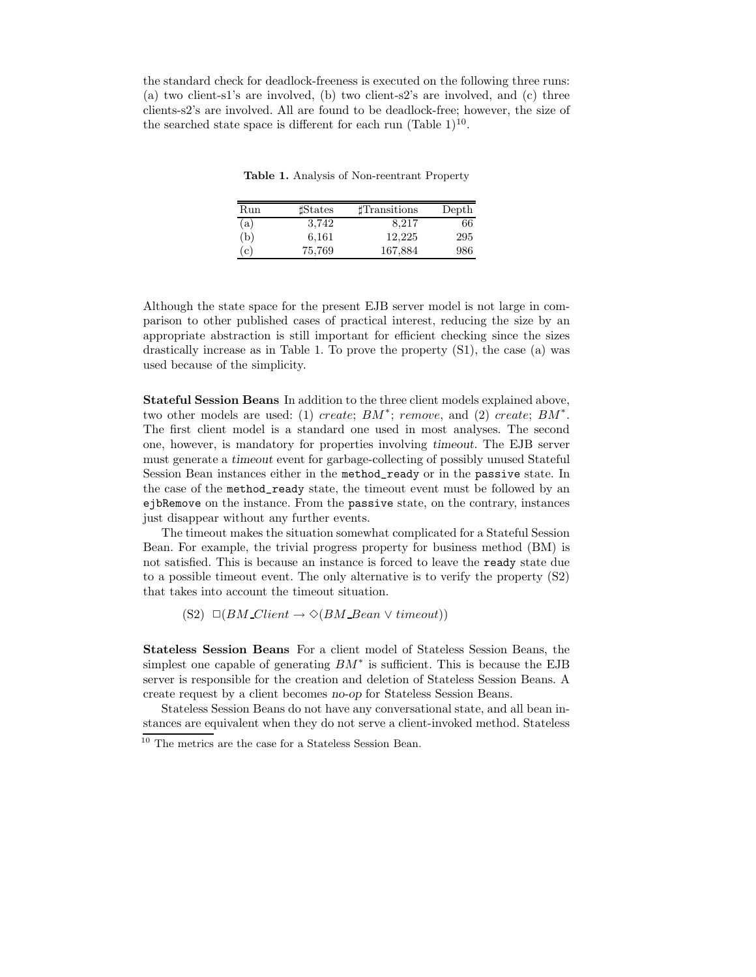the standard check for deadlock-freeness is executed on the following three runs: (a) two client-s1's are involved, (b) two client-s2's are involved, and (c) three clients-s2's are involved. All are found to be deadlock-free; however, the size of the searched state space is different for each run  $(Table 1)^{10}$ .

**Table 1.** Analysis of Non-reentrant Property

| Run          | <b>States</b> | <b>T</b> ransitions | Depth |
|--------------|---------------|---------------------|-------|
| (a)          | 3,742         | 8,217               | 66    |
| (b)          | 6,161         | 12.225              | 295   |
| $\mathbf{c}$ | 75.769        | 167,884             | 986   |

Although the state space for the present EJB server model is not large in comparison to other published cases of practical interest, reducing the size by an appropriate abstraction is still important for efficient checking since the sizes drastically increase as in Table 1. To prove the property  $(S1)$ , the case (a) was used because of the simplicity.

**Stateful Session Beans** In addition to the three client models explained above, two other models are used: (1) *create*; *BM*<sup>∗</sup> ; *remove*,and (2) *create*; *BM*<sup>∗</sup>. The first client model is a standard one used in most analyses. The second one, however, is mandatory for properties involving *timeout*. The EJB server must generate a *timeout* event for garbage-collecting of possibly unused Stateful Session Bean instances either in the method\_ready or in the passive state. In the case of the method\_ready state, the timeout event must be followed by an ejbRemove on the instance. From the passive state, on the contrary, instances just disappear without any further events.

The timeout makes the situation somewhat complicated for a Stateful Session Bean. For example, the trivial progress property for business method (BM) is not satisfied. This is because an instance is forced to leave the ready state due to a possible timeout event. The only alternative is to verify the property (S2) that takes into account the timeout situation.

 $(S2) \Box(BM \text{ } Client \rightarrow \Diamond(BM \text{ } Bean \lor timeout))$ 

**Stateless Session Beans** For a client model of Stateless Session Beans, the simplest one capable of generating *BM*<sup>∗</sup> is sufficient. This is because the EJB server is responsible for the creation and deletion of Stateless Session Beans. A create request by a client becomes *no-op* for Stateless Session Beans.

Stateless Session Beans do not have any conversational state, and all bean instances are equivalent when they do not serve a client-invoked method. Stateless

 $10$  The metrics are the case for a Stateless Session Bean.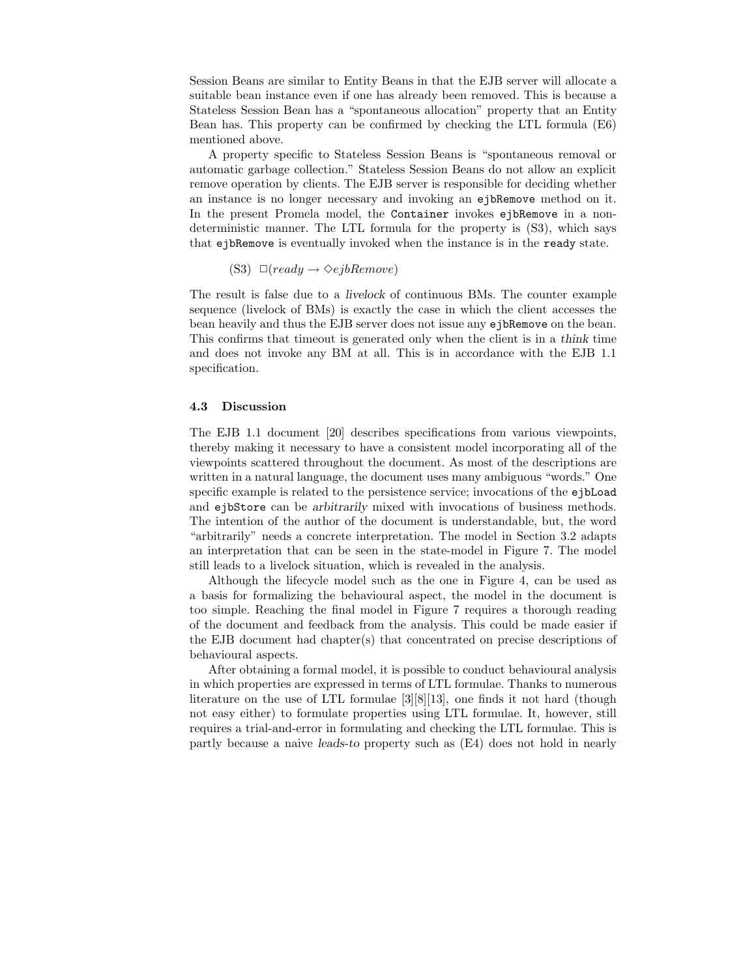Session Beans are similar to Entity Beans in that the EJB server will allocate a suitable bean instance even if one has already been removed. This is because a Stateless Session Bean has a "spontaneous allocation" property that an Entity Bean has. This property can be confirmed by checking the LTL formula (E6) mentioned above.

A property specific to Stateless Session Beans is "spontaneous removal or automatic garbage collection." Stateless Session Beans do not allow an explicit remove operation by clients. The EJB server is responsible for deciding whether an instance is no longer necessary and invoking an ejbRemove method on it. In the present Promela model, the Container invokes ejbRemove in a nondeterministic manner. The LTL formula for the property is  $(S3)$ , which says that ejbRemove is eventually invoked when the instance is in the ready state.

$$
(S3) \ \Box (ready \rightarrow \Diamond ejbRemove)
$$

The result is false due to a *livelock* of continuous BMs. The counter example sequence (livelock of BMs) is exactly the case in which the client accesses the bean heavily and thus the EJB server does not issue any ejbRemove on the bean. This confirms that timeout is generated only when the client is in a *think* time and does not invoke any BM at all. This is in accordance with the EJB 1.1 specification.

#### **4.3 Discussion**

The EJB 1.1 document [20] describes specifications from various viewpoints, thereby making it necessary to have a consistent model incorporating all of the viewpoints scattered throughout the document. As most of the descriptions are written in a natural language, the document uses many ambiguous "words." One specific example is related to the persistence service; invocations of the ejbLoad and ejbStore can be *arbitrarily* mixed with invocations of business methods. The intention of the author of the document is understandable, but, the word "arbitrarily" needs a concrete interpretation. The model in Section 3.2 adapts an interpretation that can be seen in the state-model in Figure 7. The model still leads to a livelock situation, which is revealed in the analysis.

Although the lifecycle model such as the one in Figure 4, can be used as a basis for formalizing the behavioural aspect, the model in the document is too simple. Reaching the final model in Figure 7 requires a thorough reading of the document and feedback from the analysis. This could be made easier if the EJB document had chapter(s) that concentrated on precise descriptions of behavioural aspects.

After obtaining a formal model, it is possible to conduct behavioural analysis in which properties are expressed in terms of LTL formulae. Thanks to numerous literature on the use of LTL formulae  $\frac{3}{8}$ [8][13], one finds it not hard (though not easy either) to formulate properties using LTL formulae. It, however, still requires a trial-and-error in formulating and checking the LTL formulae. This is partly because a naive *leads-to* property such as (E4) does not hold in nearly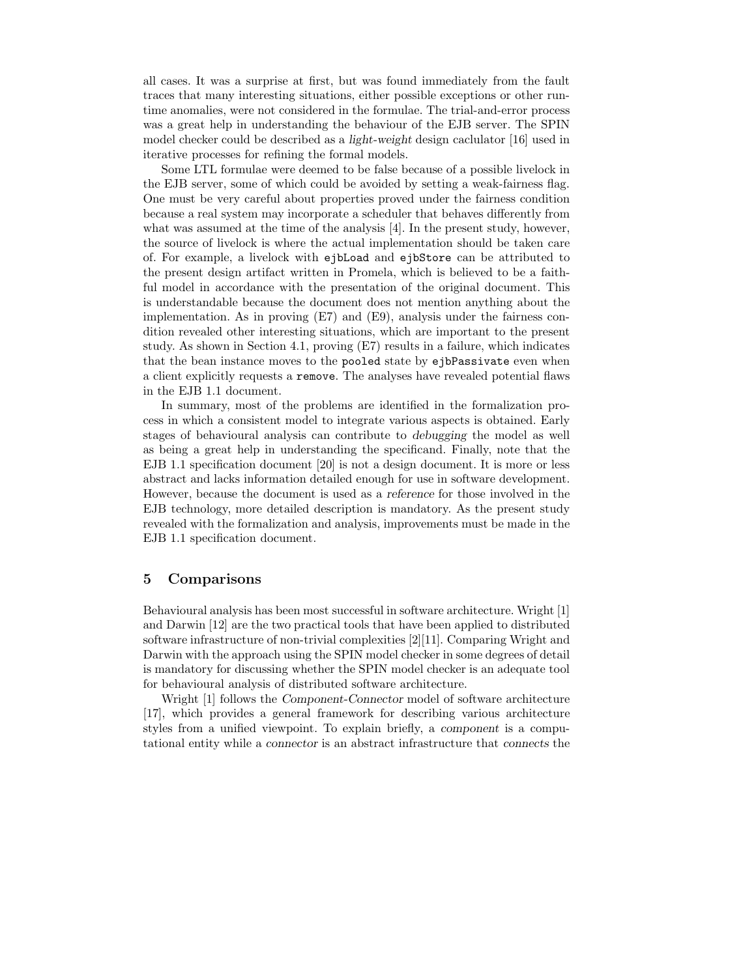all cases. It was a surprise at first, but was found immediately from the fault traces that many interesting situations, either possible exceptions or other runtime anomalies, were not considered in the formulae. The trial-and-error process was a great help in understanding the behaviour of the EJB server. The SPIN model checker could be described as a *light-weight* design caclulator [16] used in iterative processes for refining the formal models.

Some LTL formulae were deemed to be false because of a possible livelock in the EJB server, some of which could be avoided by setting a weak-fairness flag. One must be very careful about properties proved under the fairness condition because a real system may incorporate a scheduler that behaves differently from what was assumed at the time of the analysis  $[4]$ . In the present study, however, the source of livelock is where the actual implementation should be taken care of. For example, a livelock with ejbLoad and ejbStore can be attributed to the present design artifact written in Promela,which is believed to be a faithful model in accordance with the presentation of the original document. This is understandable because the document does not mention anything about the implementation. As in proving  $(E7)$  and  $(E9)$ , analysis under the fairness condition revealed other interesting situations, which are important to the present study. As shown in Section 4.1, proving  $(E7)$  results in a failure, which indicates that the bean instance moves to the pooled state by ejbPassivate even when a client explicitly requests a remove. The analyses have revealed potential flaws in the EJB 1.1 document.

In summary, most of the problems are identified in the formalization process in which a consistent model to integrate various aspects is obtained. Early stages of behavioural analysis can contribute to *debugging* the model as well as being a great help in understanding the specificand. Finally, note that the EJB 1.1 specification document [20] is not a design document. It is more or less abstract and lacks information detailed enough for use in software development. However, because the document is used as a *reference* for those involved in the EJB technology, more detailed description is mandatory. As the present study revealed with the formalization and analysis, improvements must be made in the EJB 1.1 specification document.

## **5 Comparisons**

Behavioural analysis has been most successful in software architecture. Wright [1] and Darwin [12] are the two practical tools that have been applied to distributed software infrastructure of non-trivial complexities [2][11]. Comparing Wright and Darwin with the approach using the SPIN model checker in some degrees of detail is mandatory for discussing whether the SPIN model checker is an adequate tool for behavioural analysis of distributed software architecture.

Wright [1] follows the *Component-Connector* model of software architecture [17],which provides a general framework for describing various architecture styles from a unified viewpoint. To explain briefly, a *component* is a computational entity while a *connector* is an abstract infrastructure that *connects* the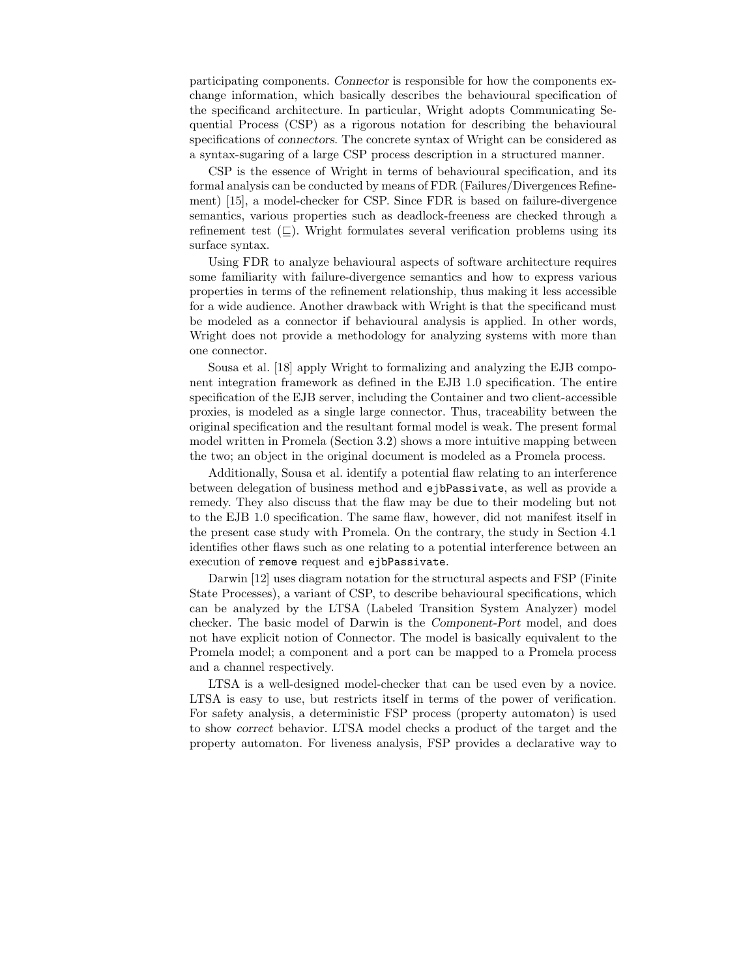participating components. *Connector* is responsible for how the components exchange information, which basically describes the behavioural specification of the specificand architecture. In particular,Wright adopts Communicating Sequential Process (CSP) as a rigorous notation for describing the behavioural specifications of *connectors*. The concrete syntax of Wright can be considered as a syntax-sugaring of a large CSP process description in a structured manner.

CSP is the essence of Wright in terms of behavioural specification,and its formal analysis can be conducted by means of FDR (Failures/Divergences Refinement) [15], a model-checker for CSP. Since FDR is based on failure-divergence semantics, various properties such as deadlock-freeness are checked through a refinement test  $(\sqsubseteq)$ . Wright formulates several verification problems using its surface syntax.

Using FDR to analyze behavioural aspects of software architecture requires some familiarity with failure-divergence semantics and how to express various properties in terms of the refinement relationship, thus making it less accessible for a wide audience. Another drawback with Wright is that the specificand must be modeled as a connector if behavioural analysis is applied. In other words, Wright does not provide a methodology for analyzing systems with more than one connector.

Sousa et al. [18] apply Wright to formalizing and analyzing the EJB component integration framework as defined in the EJB 1.0 specification. The entire specification of the EJB server, including the Container and two client-accessible proxies, is modeled as a single large connector. Thus, traceability between the original specification and the resultant formal model is weak. The present formal model written in Promela (Section 3.2) shows a more intuitive mapping between the two; an object in the original document is modeled as a Promela process.

Additionally, Sousa et al. identify a potential flaw relating to an interference between delegation of business method and ejbPassivate, as well as provide a remedy. They also discuss that the flaw may be due to their modeling but not to the EJB 1.0 specification. The same flaw, however, did not manifest itself in the present case study with Promela. On the contrary, the study in Section 4.1 identifies other flaws such as one relating to a potential interference between an execution of remove request and ejbPassivate.

Darwin [12] uses diagram notation for the structural aspects and FSP (Finite State Processes), a variant of CSP, to describe behavioural specifications, which can be analyzed by the LTSA (Labeled Transition System Analyzer) model checker. The basic model of Darwin is the *Component-Port* model, and does not have explicit notion of Connector. The model is basically equivalent to the Promela model; a component and a port can be mapped to a Promela process and a channel respectively.

LTSA is a well-designed model-checker that can be used even by a novice. LTSA is easy to use, but restricts itself in terms of the power of verification. For safety analysis, a deterministic FSP process (property automaton) is used to show *correct* behavior. LTSA model checks a product of the target and the property automaton. For liveness analysis,FSP provides a declarative way to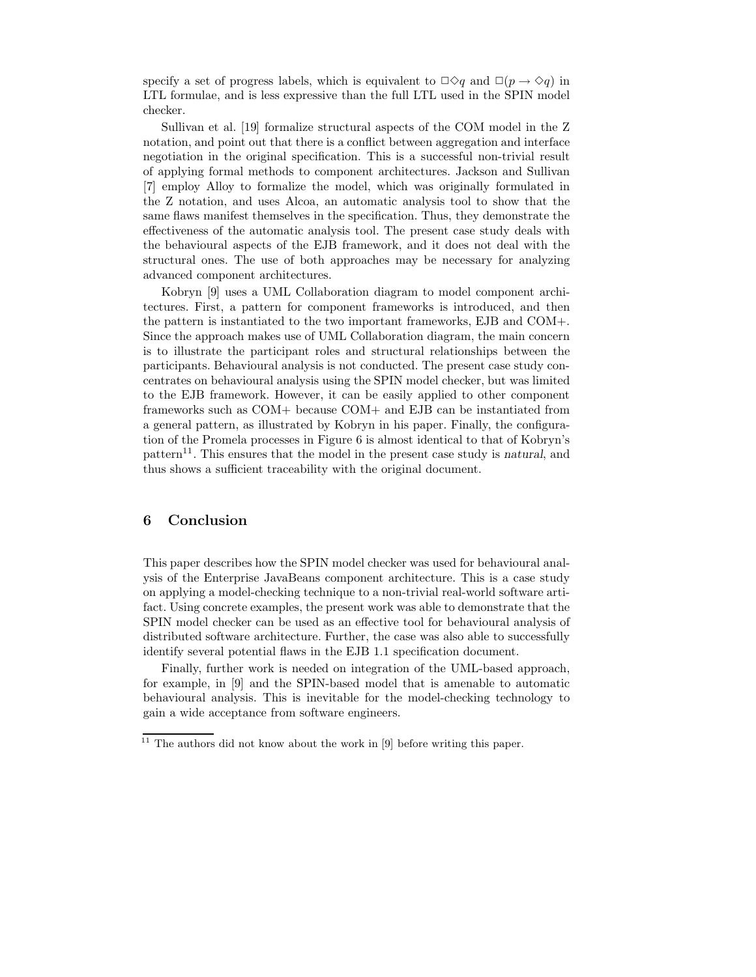specify a set of progress labels, which is equivalent to  $\Box \Diamond q$  and  $\Box (p \rightarrow \Diamond q)$  in LTL formulae, and is less expressive than the full LTL used in the SPIN model checker.

Sullivan et al. [19] formalize structural aspects of the COM model in the Z notation,and point out that there is a conflict between aggregation and interface negotiation in the original specification. This is a successful non-trivial result of applying formal methods to component architectures. Jackson and Sullivan [7] employ Alloy to formalize the model,which was originally formulated in the Z notation,and uses Alcoa,an automatic analysis tool to show that the same flaws manifest themselves in the specification. Thus, they demonstrate the effectiveness of the automatic analysis tool. The present case study deals with the behavioural aspects of the EJB framework,and it does not deal with the structural ones. The use of both approaches may be necessary for analyzing advanced component architectures.

Kobryn [9] uses a UML Collaboration diagram to model component architectures. First, a pattern for component frameworks is introduced, and then the pattern is instantiated to the two important frameworks, EJB and  $COM<sub>+</sub>$ . Since the approach makes use of UML Collaboration diagram, the main concern is to illustrate the participant roles and structural relationships between the participants. Behavioural analysis is not conducted. The present case study concentrates on behavioural analysis using the SPIN model checker, but was limited to the EJB framework. However, it can be easily applied to other component frameworks such as COM+ because COM+ and EJB can be instantiated from a general pattern, as illustrated by Kobryn in his paper. Finally, the configuration of the Promela processes in Figure 6 is almost identical to that of Kobryn's  $pattern<sup>11</sup>$ . This ensures that the model in the present case study is *natural*, and thus shows a sufficient traceability with the original document.

## **6 Conclusion**

This paper describes how the SPIN model checker was used for behavioural analysis of the Enterprise JavaBeans component architecture. This is a case study on applying a model-checking technique to a non-trivial real-world software artifact. Using concrete examples, the present work was able to demonstrate that the SPIN model checker can be used as an effective tool for behavioural analysis of distributed software architecture. Further, the case was also able to successfully identify several potential flaws in the EJB 1.1 specification document.

Finally, further work is needed on integration of the UML-based approach, for example, in [9] and the SPIN-based model that is amenable to automatic behavioural analysis. This is inevitable for the model-checking technology to gain a wide acceptance from software engineers.

 $\frac{11}{11}$  The authors did not know about the work in [9] before writing this paper.